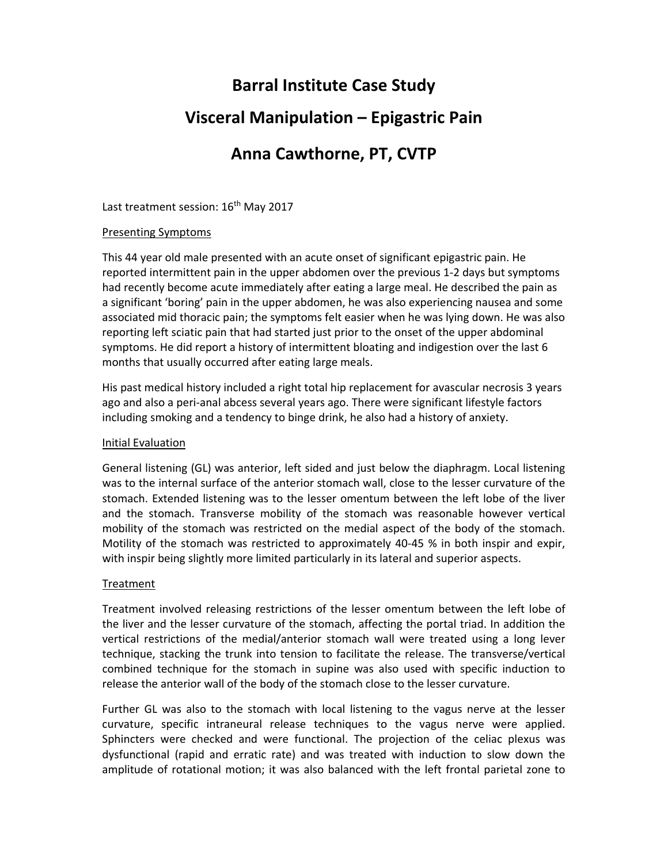# **Barral Institute Case Study Visceral Manipulation – Epigastric Pain Anna Cawthorne, PT, CVTP**

Last treatment session: 16<sup>th</sup> May 2017

### Presenting Symptoms

This 44 year old male presented with an acute onset of significant epigastric pain. He reported intermittent pain in the upper abdomen over the previous 1‐2 days but symptoms had recently become acute immediately after eating a large meal. He described the pain as a significant 'boring' pain in the upper abdomen, he was also experiencing nausea and some associated mid thoracic pain; the symptoms felt easier when he was lying down. He was also reporting left sciatic pain that had started just prior to the onset of the upper abdominal symptoms. He did report a history of intermittent bloating and indigestion over the last 6 months that usually occurred after eating large meals.

His past medical history included a right total hip replacement for avascular necrosis 3 years ago and also a peri‐anal abcess several years ago. There were significant lifestyle factors including smoking and a tendency to binge drink, he also had a history of anxiety.

### Initial Evaluation

General listening (GL) was anterior, left sided and just below the diaphragm. Local listening was to the internal surface of the anterior stomach wall, close to the lesser curvature of the stomach. Extended listening was to the lesser omentum between the left lobe of the liver and the stomach. Transverse mobility of the stomach was reasonable however vertical mobility of the stomach was restricted on the medial aspect of the body of the stomach. Motility of the stomach was restricted to approximately 40-45 % in both inspir and expir, with inspir being slightly more limited particularly in its lateral and superior aspects.

## Treatment

Treatment involved releasing restrictions of the lesser omentum between the left lobe of the liver and the lesser curvature of the stomach, affecting the portal triad. In addition the vertical restrictions of the medial/anterior stomach wall were treated using a long lever technique, stacking the trunk into tension to facilitate the release. The transverse/vertical combined technique for the stomach in supine was also used with specific induction to release the anterior wall of the body of the stomach close to the lesser curvature.

Further GL was also to the stomach with local listening to the vagus nerve at the lesser curvature, specific intraneural release techniques to the vagus nerve were applied. Sphincters were checked and were functional. The projection of the celiac plexus was dysfunctional (rapid and erratic rate) and was treated with induction to slow down the amplitude of rotational motion; it was also balanced with the left frontal parietal zone to